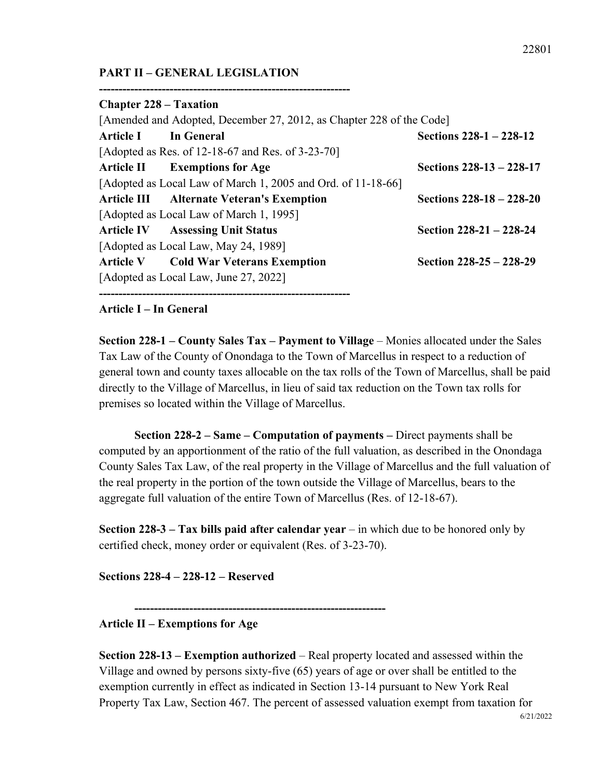# **PART II – GENERAL LEGISLATION**

**----------------------------------------------------------------**

| <b>Chapter 228 – Taxation</b> |                                                                      |                          |
|-------------------------------|----------------------------------------------------------------------|--------------------------|
|                               | [Amended and Adopted, December 27, 2012, as Chapter 228 of the Code] |                          |
| <b>Article I</b>              | In General                                                           | Sections 228-1 - 228-12  |
|                               | [Adopted as Res. of $12-18-67$ and Res. of $3-23-70$ ]               |                          |
|                               | Article II Exemptions for Age                                        | Sections 228-13 - 228-17 |
|                               | [Adopted as Local Law of March 1, 2005 and Ord. of 11-18-66]         |                          |
|                               | <b>Article III</b> Alternate Veteran's Exemption                     | Sections 228-18 - 228-20 |
|                               | [Adopted as Local Law of March 1, 1995]                              |                          |
|                               | <b>Article IV Assessing Unit Status</b>                              | Section 228-21 - 228-24  |
|                               | [Adopted as Local Law, May 24, 1989]                                 |                          |
|                               | Article V Cold War Veterans Exemption                                | Section 228-25 - 228-29  |
|                               | [Adopted as Local Law, June 27, 2022]                                |                          |
|                               |                                                                      |                          |

# **Article I – In General**

**Section 228-1 – County Sales Tax – Payment to Village** – Monies allocated under the Sales Tax Law of the County of Onondaga to the Town of Marcellus in respect to a reduction of general town and county taxes allocable on the tax rolls of the Town of Marcellus, shall be paid directly to the Village of Marcellus, in lieu of said tax reduction on the Town tax rolls for premises so located within the Village of Marcellus.

**Section 228-2 – Same – Computation of payments –** Direct payments shall be computed by an apportionment of the ratio of the full valuation, as described in the Onondaga County Sales Tax Law, of the real property in the Village of Marcellus and the full valuation of the real property in the portion of the town outside the Village of Marcellus, bears to the aggregate full valuation of the entire Town of Marcellus (Res. of 12-18-67).

**Section 228-3 – Tax bills paid after calendar year** – in which due to be honored only by certified check, money order or equivalent (Res. of 3-23-70).

**Sections 228-4 – 228-12 – Reserved**

**----------------------------------------------------------------**

**Article II – Exemptions for Age**

**Section 228-13 – Exemption authorized** – Real property located and assessed within the Village and owned by persons sixty-five (65) years of age or over shall be entitled to the exemption currently in effect as indicated in Section 13-14 pursuant to New York Real Property Tax Law, Section 467. The percent of assessed valuation exempt from taxation for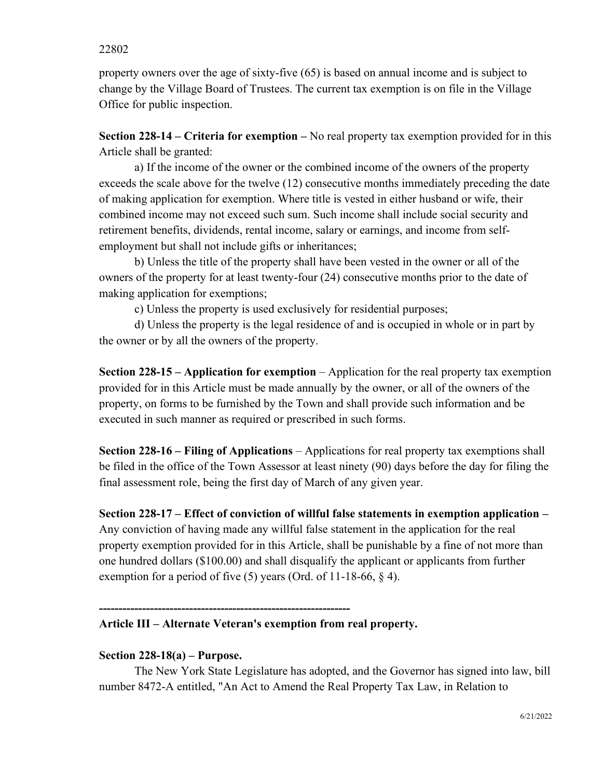# 22802

property owners over the age of sixty-five (65) is based on annual income and is subject to change by the Village Board of Trustees. The current tax exemption is on file in the Village Office for public inspection.

**Section 228-14 – Criteria for exemption –** No real property tax exemption provided for in this Article shall be granted:

a) If the income of the owner or the combined income of the owners of the property exceeds the scale above for the twelve (12) consecutive months immediately preceding the date of making application for exemption. Where title is vested in either husband or wife, their combined income may not exceed such sum. Such income shall include social security and retirement benefits, dividends, rental income, salary or earnings, and income from selfemployment but shall not include gifts or inheritances;

b) Unless the title of the property shall have been vested in the owner or all of the owners of the property for at least twenty-four (24) consecutive months prior to the date of making application for exemptions;

c) Unless the property is used exclusively for residential purposes;

d) Unless the property is the legal residence of and is occupied in whole or in part by the owner or by all the owners of the property.

**Section 228-15 – Application for exemption** – Application for the real property tax exemption provided for in this Article must be made annually by the owner, or all of the owners of the property, on forms to be furnished by the Town and shall provide such information and be executed in such manner as required or prescribed in such forms.

**Section 228-16 – Filing of Applications** – Applications for real property tax exemptions shall be filed in the office of the Town Assessor at least ninety (90) days before the day for filing the final assessment role, being the first day of March of any given year.

**Section 228-17 – Effect of conviction of willful false statements in exemption application –** Any conviction of having made any willful false statement in the application for the real property exemption provided for in this Article, shall be punishable by a fine of not more than one hundred dollars (\$100.00) and shall disqualify the applicant or applicants from further exemption for a period of five  $(5)$  years (Ord. of 11-18-66, § 4).

**----------------------------------------------------------------**

# **Article III – Alternate Veteran's exemption from real property.**

# **Section 228-18(a) – Purpose.**

The New York State Legislature has adopted, and the Governor has signed into law, bill number 8472-A entitled, "An Act to Amend the Real Property Tax Law, in Relation to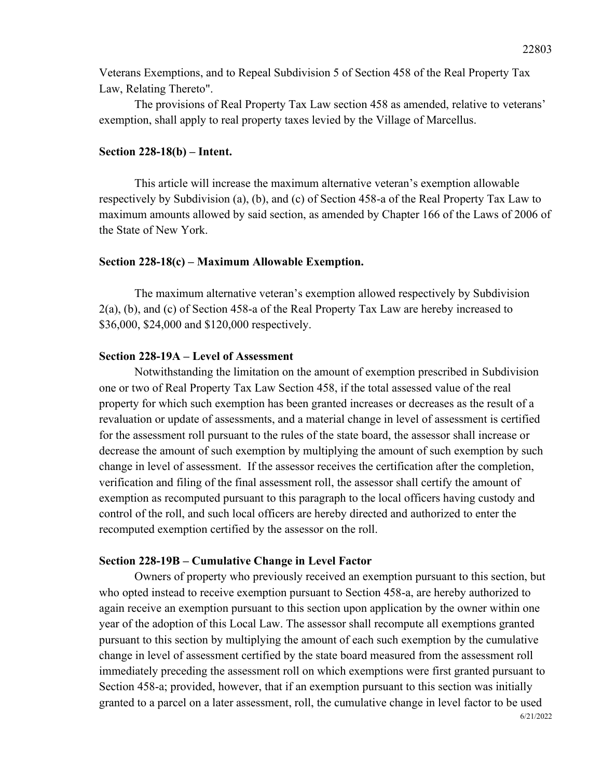Veterans Exemptions, and to Repeal Subdivision 5 of Section 458 of the Real Property Tax Law, Relating Thereto".

The provisions of Real Property Tax Law section 458 as amended, relative to veterans' exemption, shall apply to real property taxes levied by the Village of Marcellus.

#### **Section 228-18(b) – Intent.**

This article will increase the maximum alternative veteran's exemption allowable respectively by Subdivision (a), (b), and (c) of Section 458-a of the Real Property Tax Law to maximum amounts allowed by said section, as amended by Chapter 166 of the Laws of 2006 of the State of New York.

#### **Section 228-18(c) – Maximum Allowable Exemption.**

The maximum alternative veteran's exemption allowed respectively by Subdivision 2(a), (b), and (c) of Section 458-a of the Real Property Tax Law are hereby increased to \$36,000, \$24,000 and \$120,000 respectively.

#### **Section 228-19A – Level of Assessment**

Notwithstanding the limitation on the amount of exemption prescribed in Subdivision one or two of Real Property Tax Law Section 458, if the total assessed value of the real property for which such exemption has been granted increases or decreases as the result of a revaluation or update of assessments, and a material change in level of assessment is certified for the assessment roll pursuant to the rules of the state board, the assessor shall increase or decrease the amount of such exemption by multiplying the amount of such exemption by such change in level of assessment. If the assessor receives the certification after the completion, verification and filing of the final assessment roll, the assessor shall certify the amount of exemption as recomputed pursuant to this paragraph to the local officers having custody and control of the roll, and such local officers are hereby directed and authorized to enter the recomputed exemption certified by the assessor on the roll.

#### **Section 228-19B – Cumulative Change in Level Factor**

Owners of property who previously received an exemption pursuant to this section, but who opted instead to receive exemption pursuant to Section 458-a, are hereby authorized to again receive an exemption pursuant to this section upon application by the owner within one year of the adoption of this Local Law. The assessor shall recompute all exemptions granted pursuant to this section by multiplying the amount of each such exemption by the cumulative change in level of assessment certified by the state board measured from the assessment roll immediately preceding the assessment roll on which exemptions were first granted pursuant to Section 458-a; provided, however, that if an exemption pursuant to this section was initially granted to a parcel on a later assessment, roll, the cumulative change in level factor to be used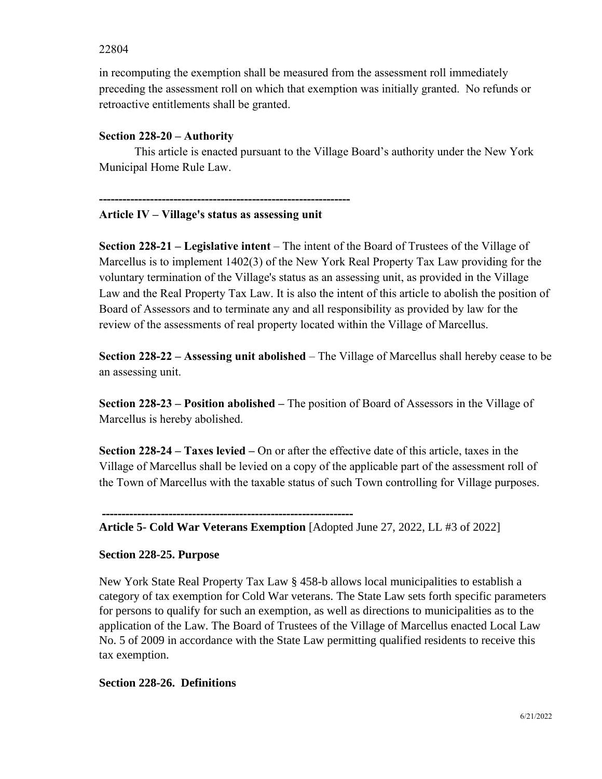# 22804

in recomputing the exemption shall be measured from the assessment roll immediately preceding the assessment roll on which that exemption was initially granted. No refunds or retroactive entitlements shall be granted.

# **Section 228-20 – Authority**

This article is enacted pursuant to the Village Board's authority under the New York Municipal Home Rule Law.

# **---------------------------------------------------------------- Article IV – Village's status as assessing unit**

**Section 228-21 – Legislative intent** – The intent of the Board of Trustees of the Village of Marcellus is to implement 1402(3) of the New York Real Property Tax Law providing for the voluntary termination of the Village's status as an assessing unit, as provided in the Village Law and the Real Property Tax Law. It is also the intent of this article to abolish the position of Board of Assessors and to terminate any and all responsibility as provided by law for the review of the assessments of real property located within the Village of Marcellus.

**Section 228-22 – Assessing unit abolished** – The Village of Marcellus shall hereby cease to be an assessing unit.

**Section 228-23 – Position abolished –** The position of Board of Assessors in the Village of Marcellus is hereby abolished.

**Section 228-24 – Taxes levied –** On or after the effective date of this article, taxes in the Village of Marcellus shall be levied on a copy of the applicable part of the assessment roll of the Town of Marcellus with the taxable status of such Town controlling for Village purposes.

**----------------------------------------------------------------**

**Article 5- Cold War Veterans Exemption** [Adopted June 27, 2022, LL #3 of 2022]

# **Section 228-25. Purpose**

New York State Real Property Tax Law § 458-b allows local municipalities to establish a category of tax exemption for Cold War veterans. The State Law sets forth specific parameters for persons to qualify for such an exemption, as well as directions to municipalities as to the application of the Law. The Board of Trustees of the Village of Marcellus enacted Local Law No. 5 of 2009 in accordance with the State Law permitting qualified residents to receive this tax exemption.

#### **Section 228-26. Definitions**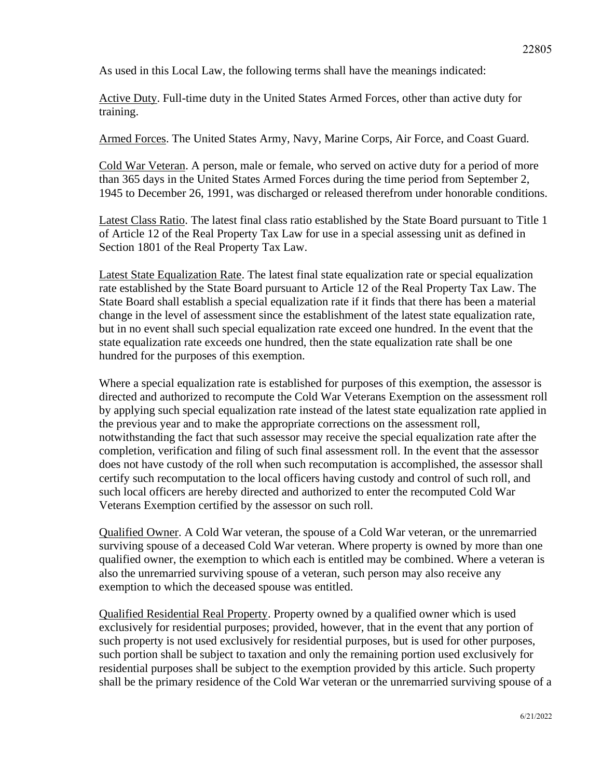As used in this Local Law, the following terms shall have the meanings indicated:

Active Duty. Full-time duty in the United States Armed Forces, other than active duty for training.

Armed Forces. The United States Army, Navy, Marine Corps, Air Force, and Coast Guard.

Cold War Veteran. A person, male or female, who served on active duty for a period of more than 365 days in the United States Armed Forces during the time period from September 2, 1945 to December 26, 1991, was discharged or released therefrom under honorable conditions.

Latest Class Ratio. The latest final class ratio established by the State Board pursuant to Title 1 of Article 12 of the Real Property Tax Law for use in a special assessing unit as defined in Section 1801 of the Real Property Tax Law.

Latest State Equalization Rate. The latest final state equalization rate or special equalization rate established by the State Board pursuant to Article 12 of the Real Property Tax Law. The State Board shall establish a special equalization rate if it finds that there has been a material change in the level of assessment since the establishment of the latest state equalization rate, but in no event shall such special equalization rate exceed one hundred. In the event that the state equalization rate exceeds one hundred, then the state equalization rate shall be one hundred for the purposes of this exemption.

Where a special equalization rate is established for purposes of this exemption, the assessor is directed and authorized to recompute the Cold War Veterans Exemption on the assessment roll by applying such special equalization rate instead of the latest state equalization rate applied in the previous year and to make the appropriate corrections on the assessment roll, notwithstanding the fact that such assessor may receive the special equalization rate after the completion, verification and filing of such final assessment roll. In the event that the assessor does not have custody of the roll when such recomputation is accomplished, the assessor shall certify such recomputation to the local officers having custody and control of such roll, and such local officers are hereby directed and authorized to enter the recomputed Cold War Veterans Exemption certified by the assessor on such roll.

Qualified Owner. A Cold War veteran, the spouse of a Cold War veteran, or the unremarried surviving spouse of a deceased Cold War veteran. Where property is owned by more than one qualified owner, the exemption to which each is entitled may be combined. Where a veteran is also the unremarried surviving spouse of a veteran, such person may also receive any exemption to which the deceased spouse was entitled.

Qualified Residential Real Property. Property owned by a qualified owner which is used exclusively for residential purposes; provided, however, that in the event that any portion of such property is not used exclusively for residential purposes, but is used for other purposes, such portion shall be subject to taxation and only the remaining portion used exclusively for residential purposes shall be subject to the exemption provided by this article. Such property shall be the primary residence of the Cold War veteran or the unremarried surviving spouse of a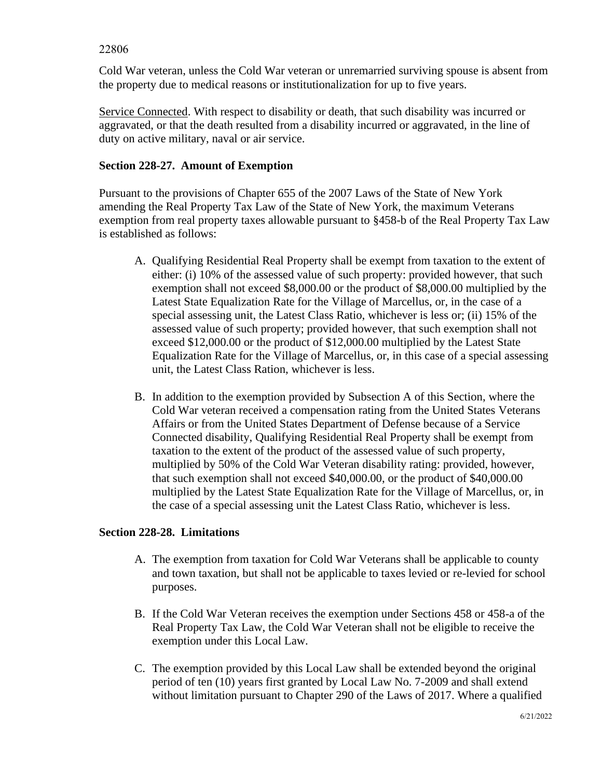# 22806

Cold War veteran, unless the Cold War veteran or unremarried surviving spouse is absent from the property due to medical reasons or institutionalization for up to five years.

Service Connected. With respect to disability or death, that such disability was incurred or aggravated, or that the death resulted from a disability incurred or aggravated, in the line of duty on active military, naval or air service.

# **Section 228-27. Amount of Exemption**

Pursuant to the provisions of Chapter 655 of the 2007 Laws of the State of New York amending the Real Property Tax Law of the State of New York, the maximum Veterans exemption from real property taxes allowable pursuant to §458-b of the Real Property Tax Law is established as follows:

- A. Qualifying Residential Real Property shall be exempt from taxation to the extent of either: (i) 10% of the assessed value of such property: provided however, that such exemption shall not exceed \$8,000.00 or the product of \$8,000.00 multiplied by the Latest State Equalization Rate for the Village of Marcellus, or, in the case of a special assessing unit, the Latest Class Ratio, whichever is less or; (ii) 15% of the assessed value of such property; provided however, that such exemption shall not exceed \$12,000.00 or the product of \$12,000.00 multiplied by the Latest State Equalization Rate for the Village of Marcellus, or, in this case of a special assessing unit, the Latest Class Ration, whichever is less.
- B. In addition to the exemption provided by Subsection A of this Section, where the Cold War veteran received a compensation rating from the United States Veterans Affairs or from the United States Department of Defense because of a Service Connected disability, Qualifying Residential Real Property shall be exempt from taxation to the extent of the product of the assessed value of such property, multiplied by 50% of the Cold War Veteran disability rating: provided, however, that such exemption shall not exceed \$40,000.00, or the product of \$40,000.00 multiplied by the Latest State Equalization Rate for the Village of Marcellus, or, in the case of a special assessing unit the Latest Class Ratio, whichever is less.

# **Section 228-28. Limitations**

- A. The exemption from taxation for Cold War Veterans shall be applicable to county and town taxation, but shall not be applicable to taxes levied or re-levied for school purposes.
- B. If the Cold War Veteran receives the exemption under Sections 458 or 458-a of the Real Property Tax Law, the Cold War Veteran shall not be eligible to receive the exemption under this Local Law.
- C. The exemption provided by this Local Law shall be extended beyond the original period of ten (10) years first granted by Local Law No. 7-2009 and shall extend without limitation pursuant to Chapter 290 of the Laws of 2017. Where a qualified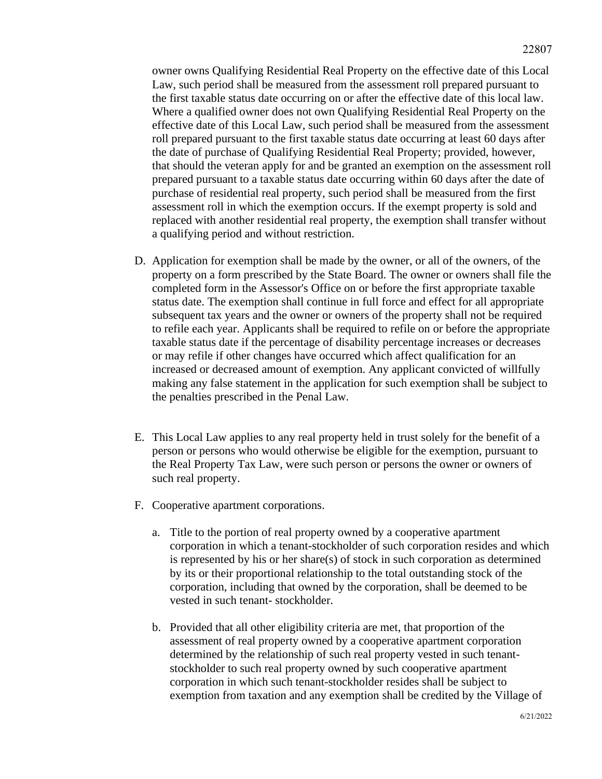owner owns Qualifying Residential Real Property on the effective date of this Local Law, such period shall be measured from the assessment roll prepared pursuant to the first taxable status date occurring on or after the effective date of this local law. Where a qualified owner does not own Qualifying Residential Real Property on the effective date of this Local Law, such period shall be measured from the assessment roll prepared pursuant to the first taxable status date occurring at least 60 days after the date of purchase of Qualifying Residential Real Property; provided, however, that should the veteran apply for and be granted an exemption on the assessment roll prepared pursuant to a taxable status date occurring within 60 days after the date of purchase of residential real property, such period shall be measured from the first assessment roll in which the exemption occurs. If the exempt property is sold and replaced with another residential real property, the exemption shall transfer without a qualifying period and without restriction.

- D. Application for exemption shall be made by the owner, or all of the owners, of the property on a form prescribed by the State Board. The owner or owners shall file the completed form in the Assessor's Office on or before the first appropriate taxable status date. The exemption shall continue in full force and effect for all appropriate subsequent tax years and the owner or owners of the property shall not be required to refile each year. Applicants shall be required to refile on or before the appropriate taxable status date if the percentage of disability percentage increases or decreases or may refile if other changes have occurred which affect qualification for an increased or decreased amount of exemption. Any applicant convicted of willfully making any false statement in the application for such exemption shall be subject to the penalties prescribed in the Penal Law.
- E. This Local Law applies to any real property held in trust solely for the benefit of a person or persons who would otherwise be eligible for the exemption, pursuant to the Real Property Tax Law, were such person or persons the owner or owners of such real property.
- F. Cooperative apartment corporations.
	- a. Title to the portion of real property owned by a cooperative apartment corporation in which a tenant-stockholder of such corporation resides and which is represented by his or her share(s) of stock in such corporation as determined by its or their proportional relationship to the total outstanding stock of the corporation, including that owned by the corporation, shall be deemed to be vested in such tenant- stockholder.
	- b. Provided that all other eligibility criteria are met, that proportion of the assessment of real property owned by a cooperative apartment corporation determined by the relationship of such real property vested in such tenantstockholder to such real property owned by such cooperative apartment corporation in which such tenant-stockholder resides shall be subject to exemption from taxation and any exemption shall be credited by the Village of